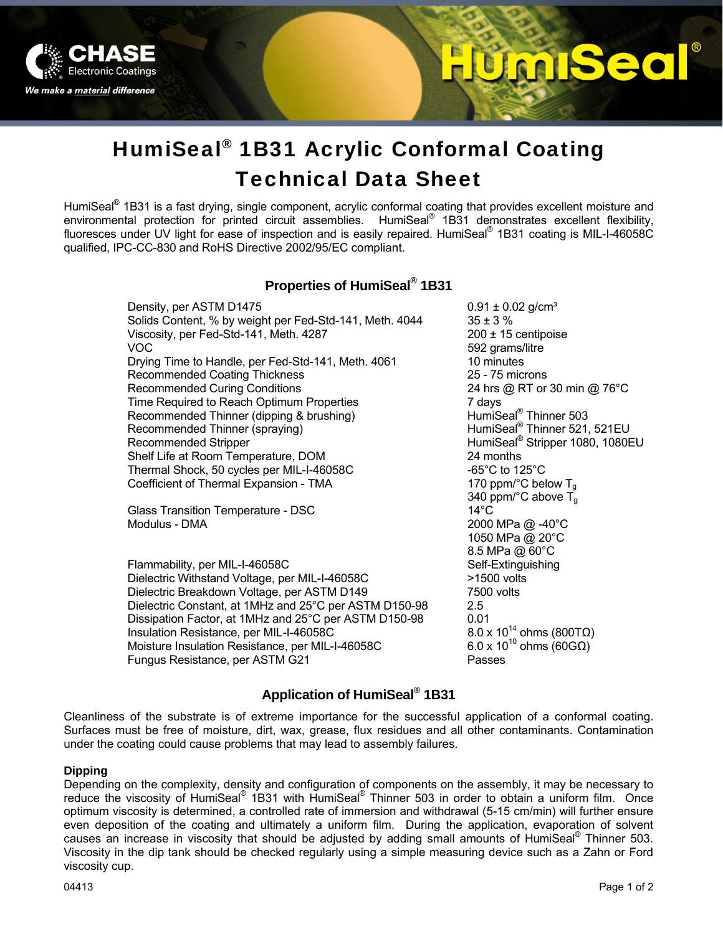

# 520

## HumiSeal® 1B31 Acrylic Conformal Coating Technical Data Sheet

HumiSeal<sup>®</sup> 1B31 is a fast drying, single component, acrylic conformal coating that provides excellent moisture and environmental protection for printed circuit assemblies. HumiSeal<sup>®</sup> 1B31 demonstrates excellent flexibility, fluoresces under UV light for ease of inspection and is easily repaired. HumiSeal® 1B31 coating is MIL-I-46058C qualified, IPC-CC-830 and RoHS Directive 2002/95/EC compliant.

#### **Properties of HumiSeal® 1B31**

Density, per ASTM D1475  $0.91 \pm 0.02$  g/cm<sup>3</sup> Solids Content, % by weight per Fed-Std-141, Meth.  $4044$  35 ± 3 % Viscosity, per Fed-Std-141, Meth.  $4287$  200 ± 15 centipoise VOC 692 grams/litre Drying Time to Handle, per Fed-Std-141, Meth. 4061 10 minutes Recommended Coating Thickness 25 - 75 microns Recommended Curing Conditions 24 hrs @ RT or 30 min @ 76°C Time Required to Reach Optimum Properties<br>
Recommended Thinner (dipping & brushing) HumiSeal<sup>®</sup> Thinner 503 Recommended Thinner (dipping & brushing) Recommended Thinner (spraying) **Example 20** HumiSeal<sup>®</sup> Thinner 521, 521EU Recommended Stripper **Fig. 1998** Stripper 1080, 1080EU Shelf Life at Room Temperature, DOM 24 months Thermal Shock, 50 cycles per MIL-I-46058C  $-65^{\circ}$ C to 125 $^{\circ}$ C Coefficient of Thermal Expansion - TMA  $170$  ppm/°C below T<sub>g</sub>

Glass Transition Temperature - DSC Modulus - DMA 2000 MPa @ -40°C

Flammability, per MIL-I-46058C Self-Extinguishing Dielectric Withstand Voltage, per MIL-I-46058C >1500 volts Dielectric Breakdown Voltage, per ASTM D149 7500 volts Dielectric Constant, at 1MHz and 25°C per ASTM D150-98 2.5 Dissipation Factor, at 1MHz and 25°C per ASTM D150-98 0.01<br>Insulation Resistance. per MIL-I-46058C 6.0 x 10<sup>14</sup> ohms (800TΩ) Insulation Resistance, per MIL-I-46058C 8.0 x 10<sup>14</sup> ohms (800TΩ)<br>Moisture Insulation Resistance, per MIL-I-46058C 6.0 x 10<sup>10</sup> ohms (60GΩ) Moisture Insulation Resistance, per MIL-I-46058C Fungus Resistance, per ASTM G21 Passes

340 ppm/°C above  $\overline{T}_g$ <br>14°C 1050 MPa @ 20°C 8.5 MPa @ 60°C

#### **Application of HumiSeal® 1B31**

Cleanliness of the substrate is of extreme importance for the successful application of a conformal coating. Surfaces must be free of moisture, dirt, wax, grease, flux residues and all other contaminants. Contamination under the coating could cause problems that may lead to assembly failures.

#### **Dipping**

Depending on the complexity, density and configuration of components on the assembly, it may be necessary to reduce the viscosity of HumiSeal<sup>®</sup> 1B31 with HumiSeal<sup>®</sup> Thinner 503 in order to obtain a uniform film. Once optimum viscosity is determined, a controlled rate of immersion and withdrawal (5-15 cm/min) will further ensure even deposition of the coating and ultimately a uniform film. During the application, evaporation of solvent causes an increase in viscosity that should be adjusted by adding small amounts of HumiSeal® Thinner 503. Viscosity in the dip tank should be checked regularly using a simple measuring device such as a Zahn or Ford viscosity cup.